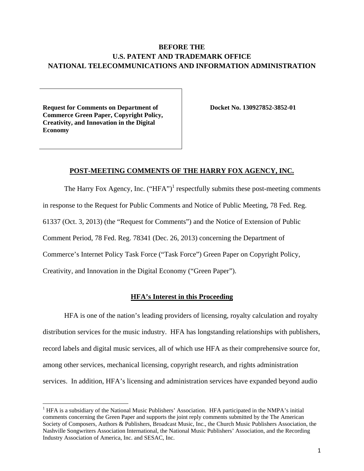# **BEFORE THE U.S. PATENT AND TRADEMARK OFFICE NATIONAL TELECOMMUNICATIONS AND INFORMATION ADMINISTRATION**

**Request for Comments on Department of Commerce Green Paper, Copyright Policy, Creativity, and Innovation in the Digital Economy** 

**Docket No. 130927852-3852-01** 

# **POST-MEETING COMMENTS OF THE HARRY FOX AGENCY, INC.**

The Harry Fox Agency, Inc.  $("HFA")^1$  respectfully submits these post-meeting comments in response to the Request for Public Comments and Notice of Public Meeting, 78 Fed. Reg. 61337 (Oct. 3, 2013) (the "Request for Comments") and the Notice of Extension of Public Comment Period, 78 Fed. Reg. 78341 (Dec. 26, 2013) concerning the Department of Commerce's Internet Policy Task Force ("Task Force") Green Paper on Copyright Policy, Creativity, and Innovation in the Digital Economy ("Green Paper").

# **HFA's Interest in this Proceeding**

HFA is one of the nation's leading providers of licensing, royalty calculation and royalty distribution services for the music industry. HFA has longstanding relationships with publishers, record labels and digital music services, all of which use HFA as their comprehensive source for, among other services, mechanical licensing, copyright research, and rights administration services. In addition, HFA's licensing and administration services have expanded beyond audio

<sup>&</sup>lt;sup>1</sup> HFA is a subsidiary of the National Music Publishers' Association. HFA participated in the NMPA's initial comments concerning the Green Paper and supports the joint reply comments submitted by the The American Society of Composers, Authors & Publishers, Broadcast Music, Inc., the Church Music Publishers Association, the Nashville Songwriters Association International, the National Music Publishers' Association, and the Recording Industry Association of America, Inc. and SESAC, Inc.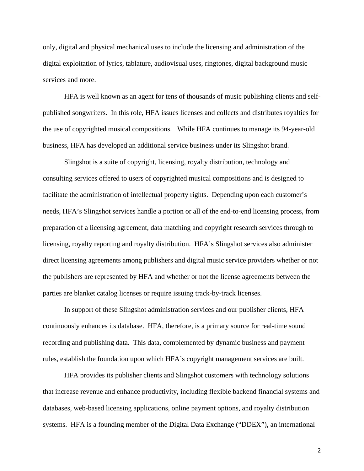only, digital and physical mechanical uses to include the licensing and administration of the digital exploitation of lyrics, tablature, audiovisual uses, ringtones, digital background music services and more.

HFA is well known as an agent for tens of thousands of music publishing clients and selfpublished songwriters. In this role, HFA issues licenses and collects and distributes royalties for the use of copyrighted musical compositions. While HFA continues to manage its 94-year-old business, HFA has developed an additional service business under its Slingshot brand.

 Slingshot is a suite of copyright, licensing, royalty distribution, technology and consulting services offered to users of copyrighted musical compositions and is designed to facilitate the administration of intellectual property rights. Depending upon each customer's needs, HFA's Slingshot services handle a portion or all of the end-to-end licensing process, from preparation of a licensing agreement, data matching and copyright research services through to licensing, royalty reporting and royalty distribution. HFA's Slingshot services also administer direct licensing agreements among publishers and digital music service providers whether or not the publishers are represented by HFA and whether or not the license agreements between the parties are blanket catalog licenses or require issuing track-by-track licenses.

 In support of these Slingshot administration services and our publisher clients, HFA continuously enhances its database. HFA, therefore, is a primary source for real-time sound recording and publishing data. This data, complemented by dynamic business and payment rules, establish the foundation upon which HFA's copyright management services are built.

 HFA provides its publisher clients and Slingshot customers with technology solutions that increase revenue and enhance productivity, including flexible backend financial systems and databases, web-based licensing applications, online payment options, and royalty distribution systems. HFA is a founding member of the Digital Data Exchange ("DDEX"), an international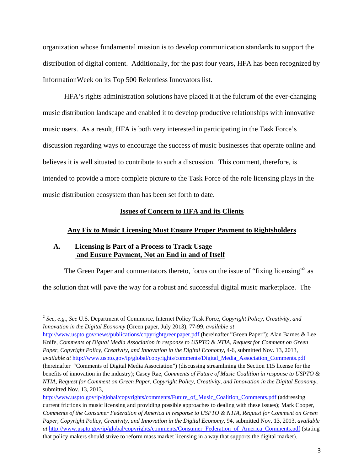organization whose fundamental mission is to develop communication standards to support the distribution of digital content. Additionally, for the past four years, HFA has been recognized by InformationWeek on its Top 500 Relentless Innovators list.

HFA's rights administration solutions have placed it at the fulcrum of the ever-changing music distribution landscape and enabled it to develop productive relationships with innovative music users. As a result, HFA is both very interested in participating in the Task Force's discussion regarding ways to encourage the success of music businesses that operate online and believes it is well situated to contribute to such a discussion. This comment, therefore, is intended to provide a more complete picture to the Task Force of the role licensing plays in the music distribution ecosystem than has been set forth to date.

# **Issues of Concern to HFA and its Clients**

### **Any Fix to Music Licensing Must Ensure Proper Payment to Rightsholders**

# **A. Licensing is Part of a Process to Track Usage and Ensure Payment, Not an End in and of Itself**

The Green Paper and commentators thereto, focus on the issue of "fixing licensing"<sup>2</sup> as

the solution that will pave the way for a robust and successful digital music marketplace. The

http://www.uspto.gov/news/publications/copyrightgreenpaper.pdf (hereinafter "Green Paper"); Alan Barnes & Lee Knife, *Comments of Digital Media Association in response to USPTO & NTIA, Request for Comment on Green Paper, Copyright Policy, Creativity, and Innovation in the Digital Economy*, 4-6, submitted Nov. 13, 2013, *available at* http://www.uspto.gov/ip/global/copyrights/comments/Digital\_Media\_Association\_Comments.pdf (hereinafter "Comments of Digital Media Association") (discussing streamlining the Section 115 license for the benefits of innovation in the industry); Casey Rae*, Comments of Future of Music Coalition in response to USPTO & NTIA, Request for Comment on Green Paper, Copyright Policy, Creativity, and Innovation in the Digital Economy*, submitted Nov. 13, 2013,

http://www.uspto.gov/ip/global/copyrights/comments/Future\_of\_Music\_Coalition\_Comments.pdf (addressing current frictions in music licensing and providing possible approaches to dealing with these issues); Mark Cooper, *Comments of the Consumer Federation of America in response to USPTO & NTIA, Request for Comment on Green Paper, Copyright Policy, Creativity, and Innovation in the Digital Economy*, 94, submitted Nov. 13, 2013, *available at* http://www.uspto.gov/ip/global/copyrights/comments/Consumer\_Federation\_of\_America\_Comments.pdf (stating that policy makers should strive to reform mass market licensing in a way that supports the digital market).

<sup>2</sup> *See, e.g.*, *See* U.S. Department of Commerce, Internet Policy Task Force, *Copyright Policy, Creativity, and Innovation in the Digital Economy* (Green paper, July 2013), 77-99, *available at*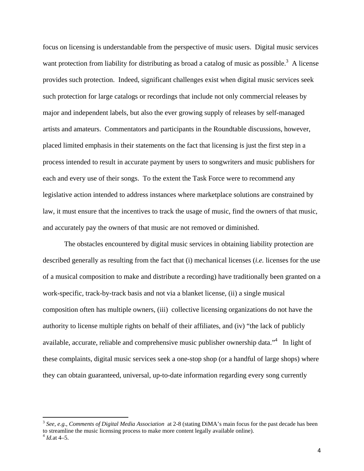focus on licensing is understandable from the perspective of music users. Digital music services want protection from liability for distributing as broad a catalog of music as possible.<sup>3</sup> A license provides such protection. Indeed, significant challenges exist when digital music services seek such protection for large catalogs or recordings that include not only commercial releases by major and independent labels, but also the ever growing supply of releases by self-managed artists and amateurs. Commentators and participants in the Roundtable discussions, however, placed limited emphasis in their statements on the fact that licensing is just the first step in a process intended to result in accurate payment by users to songwriters and music publishers for each and every use of their songs. To the extent the Task Force were to recommend any legislative action intended to address instances where marketplace solutions are constrained by law, it must ensure that the incentives to track the usage of music, find the owners of that music, and accurately pay the owners of that music are not removed or diminished.

The obstacles encountered by digital music services in obtaining liability protection are described generally as resulting from the fact that (i) mechanical licenses (*i.e.* licenses for the use of a musical composition to make and distribute a recording) have traditionally been granted on a work-specific, track-by-track basis and not via a blanket license, (ii) a single musical composition often has multiple owners, (iii) collective licensing organizations do not have the authority to license multiple rights on behalf of their affiliates, and (iv) "the lack of publicly available, accurate, reliable and comprehensive music publisher ownership data."<sup>4</sup> In light of these complaints, digital music services seek a one-stop shop (or a handful of large shops) where they can obtain guaranteed, universal, up-to-date information regarding every song currently

<sup>3</sup> *See, e.g.*, *Comments of Digital Media Association* at 2-8 (stating DiMA's main focus for the past decade has been to streamline the music licensing process to make more content legally available online).

 $^{4}$  *Id.*at 4–5.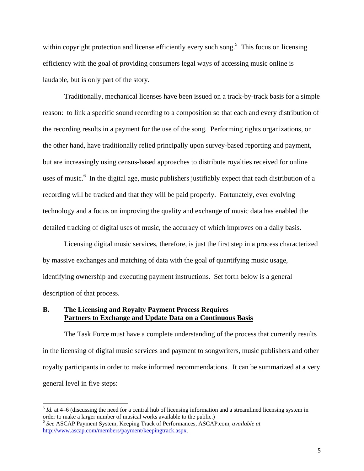within copyright protection and license efficiently every such song.<sup>5</sup> This focus on licensing efficiency with the goal of providing consumers legal ways of accessing music online is laudable, but is only part of the story.

Traditionally, mechanical licenses have been issued on a track-by-track basis for a simple reason: to link a specific sound recording to a composition so that each and every distribution of the recording results in a payment for the use of the song. Performing rights organizations, on the other hand, have traditionally relied principally upon survey-based reporting and payment, but are increasingly using census-based approaches to distribute royalties received for online uses of music.<sup>6</sup> In the digital age, music publishers justifiably expect that each distribution of a recording will be tracked and that they will be paid properly. Fortunately, ever evolving technology and a focus on improving the quality and exchange of music data has enabled the detailed tracking of digital uses of music, the accuracy of which improves on a daily basis.

Licensing digital music services, therefore, is just the first step in a process characterized by massive exchanges and matching of data with the goal of quantifying music usage, identifying ownership and executing payment instructions. Set forth below is a general description of that process.

# **B. The Licensing and Royalty Payment Process Requires Partners to Exchange and Update Data on a Continuous Basis**

The Task Force must have a complete understanding of the process that currently results in the licensing of digital music services and payment to songwriters, music publishers and other royalty participants in order to make informed recommendations. It can be summarized at a very general level in five steps:

<sup>5</sup> *Id.* at 4–6 (discussing the need for a central hub of licensing information and a streamlined licensing system in order to make a larger number of musical works available to the public.)

<sup>6</sup> *See* ASCAP Payment System, Keeping Track of Performances, ASCAP.com, *available at*  http://www.ascap.com/members/payment/keepingtrack.aspx.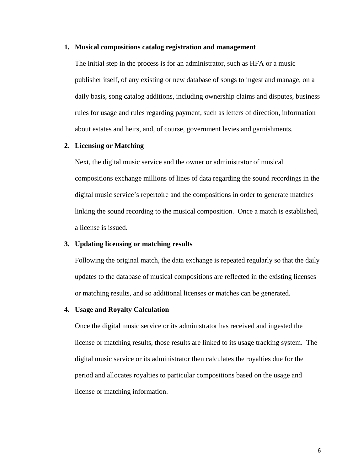#### **1. Musical compositions catalog registration and management**

The initial step in the process is for an administrator, such as HFA or a music publisher itself, of any existing or new database of songs to ingest and manage, on a daily basis, song catalog additions, including ownership claims and disputes, business rules for usage and rules regarding payment, such as letters of direction, information about estates and heirs, and, of course, government levies and garnishments.

# **2. Licensing or Matching**

Next, the digital music service and the owner or administrator of musical compositions exchange millions of lines of data regarding the sound recordings in the digital music service's repertoire and the compositions in order to generate matches linking the sound recording to the musical composition. Once a match is established, a license is issued.

### **3. Updating licensing or matching results**

Following the original match, the data exchange is repeated regularly so that the daily updates to the database of musical compositions are reflected in the existing licenses or matching results, and so additional licenses or matches can be generated.

# **4. Usage and Royalty Calculation**

Once the digital music service or its administrator has received and ingested the license or matching results, those results are linked to its usage tracking system. The digital music service or its administrator then calculates the royalties due for the period and allocates royalties to particular compositions based on the usage and license or matching information.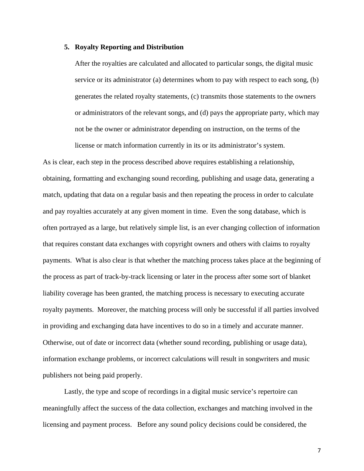### **5. Royalty Reporting and Distribution**

After the royalties are calculated and allocated to particular songs, the digital music service or its administrator (a) determines whom to pay with respect to each song, (b) generates the related royalty statements, (c) transmits those statements to the owners or administrators of the relevant songs, and (d) pays the appropriate party, which may not be the owner or administrator depending on instruction, on the terms of the license or match information currently in its or its administrator's system.

As is clear, each step in the process described above requires establishing a relationship, obtaining, formatting and exchanging sound recording, publishing and usage data, generating a match, updating that data on a regular basis and then repeating the process in order to calculate and pay royalties accurately at any given moment in time. Even the song database, which is often portrayed as a large, but relatively simple list, is an ever changing collection of information that requires constant data exchanges with copyright owners and others with claims to royalty payments. What is also clear is that whether the matching process takes place at the beginning of the process as part of track-by-track licensing or later in the process after some sort of blanket liability coverage has been granted, the matching process is necessary to executing accurate royalty payments. Moreover, the matching process will only be successful if all parties involved in providing and exchanging data have incentives to do so in a timely and accurate manner. Otherwise, out of date or incorrect data (whether sound recording, publishing or usage data), information exchange problems, or incorrect calculations will result in songwriters and music publishers not being paid properly.

 Lastly, the type and scope of recordings in a digital music service's repertoire can meaningfully affect the success of the data collection, exchanges and matching involved in the licensing and payment process. Before any sound policy decisions could be considered, the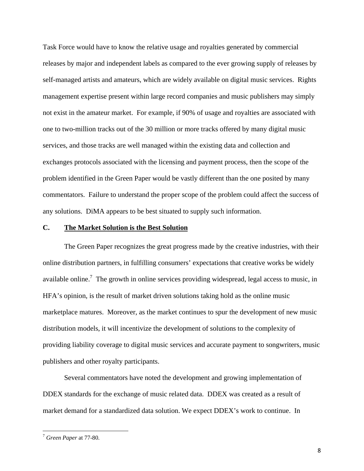Task Force would have to know the relative usage and royalties generated by commercial releases by major and independent labels as compared to the ever growing supply of releases by self-managed artists and amateurs, which are widely available on digital music services. Rights management expertise present within large record companies and music publishers may simply not exist in the amateur market. For example, if 90% of usage and royalties are associated with one to two-million tracks out of the 30 million or more tracks offered by many digital music services, and those tracks are well managed within the existing data and collection and exchanges protocols associated with the licensing and payment process, then the scope of the problem identified in the Green Paper would be vastly different than the one posited by many commentators. Failure to understand the proper scope of the problem could affect the success of any solutions. DiMA appears to be best situated to supply such information.

# **C. The Market Solution is the Best Solution**

 The Green Paper recognizes the great progress made by the creative industries, with their online distribution partners, in fulfilling consumers' expectations that creative works be widely available online.<sup>7</sup> The growth in online services providing widespread, legal access to music, in HFA's opinion, is the result of market driven solutions taking hold as the online music marketplace matures. Moreover, as the market continues to spur the development of new music distribution models, it will incentivize the development of solutions to the complexity of providing liability coverage to digital music services and accurate payment to songwriters, music publishers and other royalty participants.

Several commentators have noted the development and growing implementation of DDEX standards for the exchange of music related data. DDEX was created as a result of market demand for a standardized data solution. We expect DDEX's work to continue. In

<sup>7</sup> *Green Paper* at 77-80.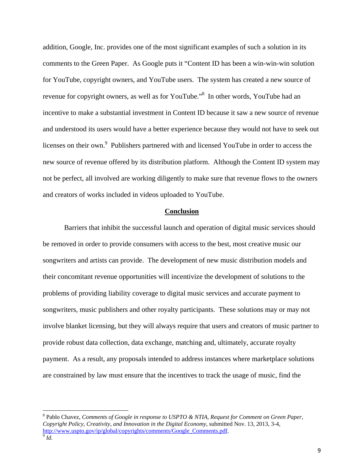addition, Google, Inc. provides one of the most significant examples of such a solution in its comments to the Green Paper. As Google puts it "Content ID has been a win-win-win solution for YouTube, copyright owners, and YouTube users. The system has created a new source of revenue for copyright owners, as well as for YouTube."<sup>8</sup> In other words, YouTube had an incentive to make a substantial investment in Content ID because it saw a new source of revenue and understood its users would have a better experience because they would not have to seek out licenses on their own.<sup>9</sup> Publishers partnered with and licensed YouTube in order to access the new source of revenue offered by its distribution platform. Although the Content ID system may not be perfect, all involved are working diligently to make sure that revenue flows to the owners and creators of works included in videos uploaded to YouTube.

#### **Conclusion**

 Barriers that inhibit the successful launch and operation of digital music services should be removed in order to provide consumers with access to the best, most creative music our songwriters and artists can provide. The development of new music distribution models and their concomitant revenue opportunities will incentivize the development of solutions to the problems of providing liability coverage to digital music services and accurate payment to songwriters, music publishers and other royalty participants. These solutions may or may not involve blanket licensing, but they will always require that users and creators of music partner to provide robust data collection, data exchange, matching and, ultimately, accurate royalty payment. As a result, any proposals intended to address instances where marketplace solutions are constrained by law must ensure that the incentives to track the usage of music, find the

<sup>8</sup> Pablo Chavez, *Comments of Google in response to USPTO & NTIA, Request for Comment on Green Paper, Copyright Policy, Creativity, and Innovation in the Digital Economy*, submitted Nov. 13, 2013, 3-4, http://www.uspto.gov/ip/global/copyrights/comments/Google\_Comments.pdf. 9 *Id.*